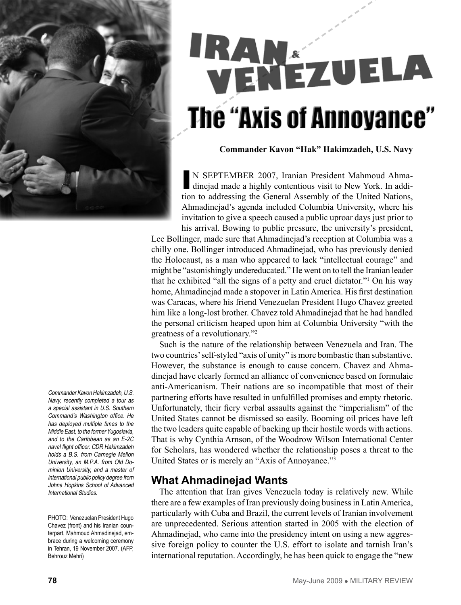

# IRAN ENÉZUELA **The "Axis of Annoyance"**

**Commander Kavon "Hak" Hakimzadeh, U.S. Navy**

IN SEPTEMBER 2007, Iranian President Mahmoud Ahmadinejad made a highly contentious visit to New York. In addition to addressing the General Assembly of the United Nations, Ahmadinejad's agenda included Columbia University, where his invitation to give a speech caused a public uproar days just prior to his arrival. Bowing to public pressure, the university's president,

Lee Bollinger, made sure that Ahmadinejad's reception at Columbia was a chilly one. Bollinger introduced Ahmadinejad, who has previously denied the Holocaust, as a man who appeared to lack "intellectual courage" and might be "astonishingly undereducated." He went on to tell the Iranian leader that he exhibited "all the signs of a petty and cruel dictator."1 On his way home, Ahmadinejad made a stopover in Latin America. His first destination was Caracas, where his friend Venezuelan President Hugo Chavez greeted him like a long-lost brother. Chavez told Ahmadinejad that he had handled the personal criticism heaped upon him at Columbia University "with the greatness of a revolutionary."2

Such is the nature of the relationship between Venezuela and Iran. The two countries' self-styled "axis of unity" is more bombastic than substantive. However, the substance is enough to cause concern. Chavez and Ahmadinejad have clearly formed an alliance of convenience based on formulaic anti-Americanism. Their nations are so incompatible that most of their partnering efforts have resulted in unfulfilled promises and empty rhetoric. Unfortunately, their fiery verbal assaults against the "imperialism" of the United States cannot be dismissed so easily. Booming oil prices have left the two leaders quite capable of backing up their hostile words with actions. That is why Cynthia Arnson, of the Woodrow Wilson International Center for Scholars, has wondered whether the relationship poses a threat to the United States or is merely an "Axis of Annoyance."3

#### **What Ahmadinejad Wants**

The attention that Iran gives Venezuela today is relatively new. While there are a few examples of Iran previously doing business in Latin America, particularly with Cuba and Brazil, the current levels of Iranian involvement are unprecedented. Serious attention started in 2005 with the election of Ahmadinejad, who came into the presidency intent on using a new aggressive foreign policy to counter the U.S. effort to isolate and tarnish Iran's international reputation. Accordingly, he has been quick to engage the "new

Commander Kavon Hakimzadeh, U.S. Navy, recently completed a tour as a special assistant in U.S. Southern Command's Washington office. He has deployed multiple times to the Middle East, to the former Yugoslavia, and to the Caribbean as an E-2C naval flight officer. CDR Hakimzadeh holds a B.S. from Carnegie Mellon University, an M.P.A. from Old Dominion University, and a master of international public policy degree from Johns Hopkins School of Advanced International Studies.

PHOTO: Venezuelan President Hugo Chavez (front) and his Iranian counterpart, Mahmoud Ahmadinejad, embrace during a welcoming ceremony in Tehran, 19 November 2007. (AFP, Behrouz Mehri)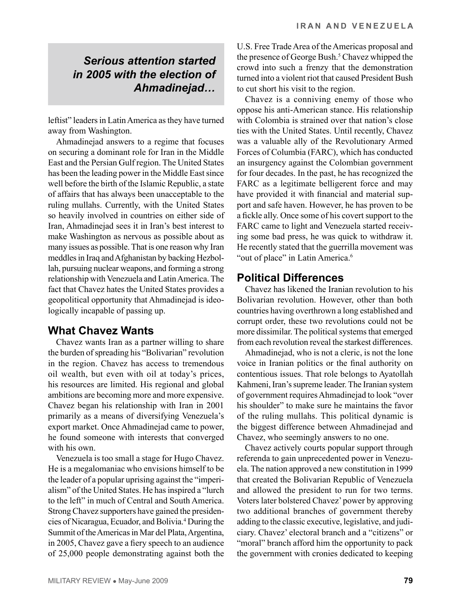# *Serious attention started in 2005 with the election of Ahmadinejad…*

leftist" leaders in Latin America as they have turned away from Washington.

Ahmadinejad answers to a regime that focuses on securing a dominant role for Iran in the Middle East and the Persian Gulf region. The United States has been the leading power in the Middle East since well before the birth of the Islamic Republic, a state of affairs that has always been unacceptable to the ruling mullahs. Currently, with the United States so heavily involved in countries on either side of Iran, Ahmadinejad sees it in Iran's best interest to make Washington as nervous as possible about as many issues as possible. That is one reason why Iran meddles in Iraq and Afghanistan by backing Hezbollah, pursuing nuclear weapons, and forming a strong relationship with Venezuela and Latin America. The fact that Chavez hates the United States provides a geopolitical opportunity that Ahmadinejad is ideologically incapable of passing up.

#### **What Chavez Wants**

Chavez wants Iran as a partner willing to share the burden of spreading his "Bolivarian" revolution in the region. Chavez has access to tremendous oil wealth, but even with oil at today's prices, his resources are limited. His regional and global ambitions are becoming more and more expensive. Chavez began his relationship with Iran in 2001 primarily as a means of diversifying Venezuela's export market. Once Ahmadinejad came to power, he found someone with interests that converged with his own.

Venezuela is too small a stage for Hugo Chavez. He is a megalomaniac who envisions himself to be the leader of a popular uprising against the "imperialism" of the United States. He has inspired a "lurch to the left" in much of Central and South America. Strong Chavez supporters have gained the presidencies of Nicaragua, Ecuador, and Bolivia.4 During the Summit of the Americas in Mar del Plata, Argentina, in 2005, Chavez gave a fiery speech to an audience of 25,000 people demonstrating against both the

U.S. Free Trade Area of the Americas proposal and the presence of George Bush.<sup>5</sup> Chavez whipped the crowd into such a frenzy that the demonstration turned into a violent riot that caused President Bush to cut short his visit to the region.

Chavez is a conniving enemy of those who oppose his anti-American stance. His relationship with Colombia is strained over that nation's close ties with the United States. Until recently, Chavez was a valuable ally of the Revolutionary Armed Forces of Columbia (FARC), which has conducted an insurgency against the Colombian government for four decades. In the past, he has recognized the FARC as a legitimate belligerent force and may have provided it with financial and material support and safe haven. However, he has proven to be a fickle ally. Once some of his covert support to the FARC came to light and Venezuela started receiving some bad press, he was quick to withdraw it. He recently stated that the guerrilla movement was "out of place" in Latin America.<sup>6</sup>

#### **Political Differences**

Chavez has likened the Iranian revolution to his Bolivarian revolution. However, other than both countries having overthrown a long established and corrupt order, these two revolutions could not be more dissimilar. The political systems that emerged from each revolution reveal the starkest differences.

Ahmadinejad, who is not a cleric, is not the lone voice in Iranian politics or the final authority on contentious issues. That role belongs to Ayatollah Kahmeni, Iran's supreme leader. The Iranian system of government requires Ahmadinejad to look "over his shoulder" to make sure he maintains the favor of the ruling mullahs. This political dynamic is the biggest difference between Ahmadinejad and Chavez, who seemingly answers to no one.

Chavez actively courts popular support through referenda to gain unprecedented power in Venezuela. The nation approved a new constitution in 1999 that created the Bolivarian Republic of Venezuela and allowed the president to run for two terms. Voters later bolstered Chavez' power by approving two additional branches of government thereby adding to the classic executive, legislative, and judiciary. Chavez' electoral branch and a "citizens" or "moral" branch afford him the opportunity to pack the government with cronies dedicated to keeping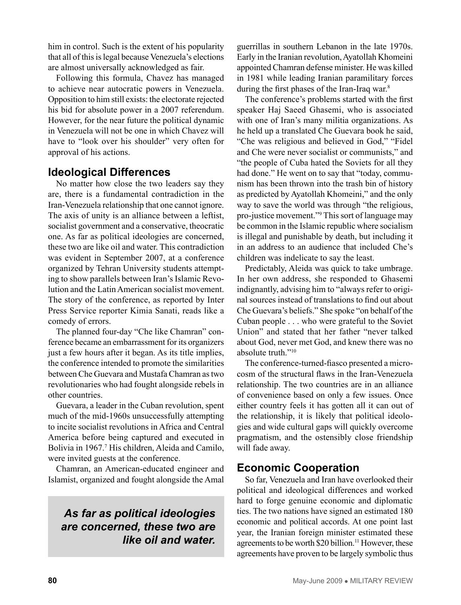him in control. Such is the extent of his popularity that all of this is legal because Venezuela's elections are almost universally acknowledged as fair.

Following this formula, Chavez has managed to achieve near autocratic powers in Venezuela. Opposition to him still exists: the electorate rejected his bid for absolute power in a 2007 referendum. However, for the near future the political dynamic in Venezuela will not be one in which Chavez will have to "look over his shoulder" very often for approval of his actions.

#### **Ideological Differences**

No matter how close the two leaders say they are, there is a fundamental contradiction in the Iran-Venezuela relationship that one cannot ignore. The axis of unity is an alliance between a leftist, socialist government and a conservative, theocratic one. As far as political ideologies are concerned, these two are like oil and water. This contradiction was evident in September 2007, at a conference organized by Tehran University students attempting to show parallels between Iran's Islamic Revolution and the Latin American socialist movement. The story of the conference, as reported by Inter Press Service reporter Kimia Sanati, reads like a comedy of errors.

The planned four-day "Che like Chamran" conference became an embarrassment for its organizers just a few hours after it began. As its title implies, the conference intended to promote the similarities between Che Guevara and Mustafa Chamran as two revolutionaries who had fought alongside rebels in other countries.

Guevara, a leader in the Cuban revolution, spent much of the mid-1960s unsuccessfully attempting to incite socialist revolutions in Africa and Central America before being captured and executed in Bolivia in 1967.<sup>7</sup> His children, Aleida and Camilo, were invited guests at the conference.

Chamran, an American-educated engineer and Islamist, organized and fought alongside the Amal

#### *As far as political ideologies are concerned, these two are like oil and water.*

guerrillas in southern Lebanon in the late 1970s. Early in the Iranian revolution, Ayatollah Khomeini appointed Chamran defense minister. He was killed in 1981 while leading Iranian paramilitary forces during the first phases of the Iran-Iraq war.<sup>8</sup>

The conference's problems started with the first speaker Haj Saeed Ghasemi, who is associated with one of Iran's many militia organizations. As he held up a translated Che Guevara book he said, "Che was religious and believed in God," "Fidel and Che were never socialist or communists," and "the people of Cuba hated the Soviets for all they had done." He went on to say that "today, communism has been thrown into the trash bin of history as predicted by Ayatollah Khomeini," and the only way to save the world was through "the religious, pro-justice movement."9 This sort of language may be common in the Islamic republic where socialism is illegal and punishable by death, but including it in an address to an audience that included Che's children was indelicate to say the least.

Predictably, Aleida was quick to take umbrage. In her own address, she responded to Ghasemi indignantly, advising him to "always refer to original sources instead of translations to find out about Che Guevara's beliefs." She spoke "on behalf of the Cuban people . . . who were grateful to the Soviet Union" and stated that her father "never talked about God, never met God, and knew there was no absolute truth."10

The conference-turned-fiasco presented a microcosm of the structural flaws in the Iran-Venezuela relationship. The two countries are in an alliance of convenience based on only a few issues. Once either country feels it has gotten all it can out of the relationship, it is likely that political ideologies and wide cultural gaps will quickly overcome pragmatism, and the ostensibly close friendship will fade away.

#### **Economic Cooperation**

So far, Venezuela and Iran have overlooked their political and ideological differences and worked hard to forge genuine economic and diplomatic ties. The two nations have signed an estimated 180 economic and political accords. At one point last year, the Iranian foreign minister estimated these agreements to be worth \$20 billion.<sup>11</sup> However, these agreements have proven to be largely symbolic thus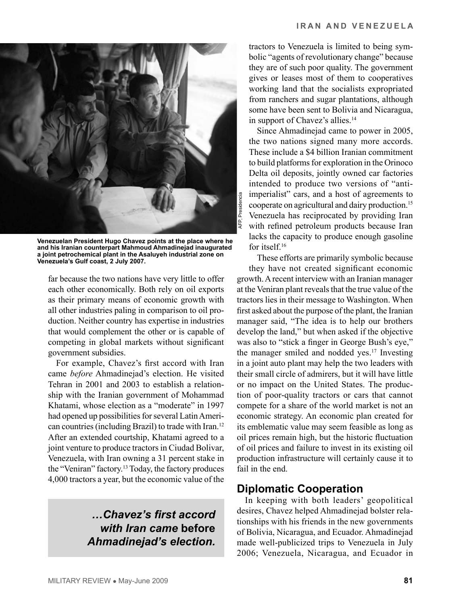

**Venezuelan President Hugo Chavez points at the place where he and his Iranian counterpart Mahmoud Ahmadinejad inaugurated a joint petrochemical plant in the Asaluyeh industrial zone on Venezuela's Gulf coast, 2 July 2007.** 

far because the two nations have very little to offer each other economically. Both rely on oil exports as their primary means of economic growth with all other industries paling in comparison to oil production. Neither country has expertise in industries that would complement the other or is capable of competing in global markets without significant government subsidies.

For example, Chavez's first accord with Iran came *before* Ahmadinejad's election. He visited Tehran in 2001 and 2003 to establish a relationship with the Iranian government of Mohammad Khatami, whose election as a "moderate" in 1997 had opened up possibilities for several Latin American countries (including Brazil) to trade with Iran.12 After an extended courtship, Khatami agreed to a joint venture to produce tractors in Ciudad Bolivar, Venezuela, with Iran owning a 31 percent stake in the "Veniran" factory.13 Today, the factory produces 4,000 tractors a year, but the economic value of the

# *…Chavez's first accord with Iran came* **before**  *Ahmadinejad's election.*

tractors to Venezuela is limited to being symbolic "agents of revolutionary change" because they are of such poor quality. The government gives or leases most of them to cooperatives working land that the socialists expropriated from ranchers and sugar plantations, although some have been sent to Bolivia and Nicaragua, in support of Chavez's allies.<sup>14</sup>

Since Ahmadinejad came to power in 2005, the two nations signed many more accords. These include a \$4 billion Iranian commitment to build platforms for exploration in the Orinoco Delta oil deposits, jointly owned car factories intended to produce two versions of "antiimperialist" cars, and a host of agreements to cooperate on agricultural and dairy production.15 Venezuela has reciprocated by providing Iran with refined petroleum products because Iran lacks the capacity to produce enough gasoline for itself.16

These efforts are primarily symbolic because they have not created significant economic growth. A recent interview with an Iranian manager at the Veniran plant reveals that the true value of the tractors lies in their message to Washington. When first asked about the purpose of the plant, the Iranian manager said, "The idea is to help our brothers develop the land," but when asked if the objective was also to "stick a finger in George Bush's eye," the manager smiled and nodded yes.17 Investing in a joint auto plant may help the two leaders with their small circle of admirers, but it will have little or no impact on the United States. The production of poor-quality tractors or cars that cannot compete for a share of the world market is not an economic strategy. An economic plan created for its emblematic value may seem feasible as long as oil prices remain high, but the historic fluctuation of oil prices and failure to invest in its existing oil production infrastructure will certainly cause it to fail in the end.

# **Diplomatic Cooperation**

In keeping with both leaders' geopolitical desires, Chavez helped Ahmadinejad bolster relationships with his friends in the new governments of Bolivia, Nicaragua, and Ecuador. Ahmadinejad made well-publicized trips to Venezuela in July 2006; Venezuela, Nicaragua, and Ecuador in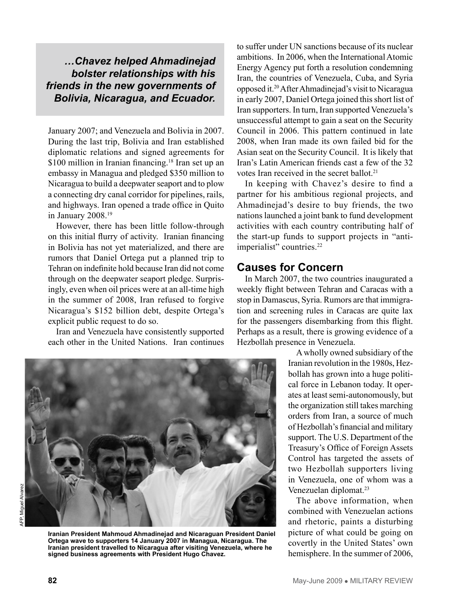#### *…Chavez helped Ahmadinejad bolster relationships with his friends in the new governments of Bolivia, Nicaragua, and Ecuador.*

January 2007; and Venezuela and Bolivia in 2007. During the last trip, Bolivia and Iran established diplomatic relations and signed agreements for \$100 million in Iranian financing.<sup>18</sup> Iran set up an embassy in Managua and pledged \$350 million to Nicaragua to build a deepwater seaport and to plow a connecting dry canal corridor for pipelines, rails, and highways. Iran opened a trade office in Quito in January 2008.19

However, there has been little follow-through on this initial flurry of activity. Iranian financing in Bolivia has not yet materialized, and there are rumors that Daniel Ortega put a planned trip to Tehran on indefinite hold because Iran did not come through on the deepwater seaport pledge. Surprisingly, even when oil prices were at an all-time high in the summer of 2008, Iran refused to forgive Nicaragua's \$152 billion debt, despite Ortega's explicit public request to do so.

Iran and Venezuela have consistently supported each other in the United Nations. Iran continues to suffer under UN sanctions because of its nuclear ambitions. In 2006, when the International Atomic Energy Agency put forth a resolution condemning Iran, the countries of Venezuela, Cuba, and Syria opposed it.20 After Ahmadinejad's visit to Nicaragua in early 2007, Daniel Ortega joined this short list of Iran supporters. In turn, Iran supported Venezuela's unsuccessful attempt to gain a seat on the Security Council in 2006. This pattern continued in late 2008, when Iran made its own failed bid for the Asian seat on the Security Council. It is likely that Iran's Latin American friends cast a few of the 32 votes Iran received in the secret ballot.<sup>21</sup>

In keeping with Chavez's desire to find a partner for his ambitious regional projects, and Ahmadinejad's desire to buy friends, the two nations launched a joint bank to fund development activities with each country contributing half of the start-up funds to support projects in "antiimperialist" countries.<sup>22</sup>

#### **Causes for Concern**

In March 2007, the two countries inaugurated a weekly flight between Tehran and Caracas with a stop in Damascus, Syria. Rumors are that immigration and screening rules in Caracas are quite lax for the passengers disembarking from this flight. Perhaps as a result, there is growing evidence of a Hezbollah presence in Venezuela.



**Iranian President Mahmoud Ahmadinejad and Nicaraguan President Daniel Ortega wave to supporters 14 January 2007 in Managua, Nicaragua. The Iranian president travelled to Nicaragua after visiting Venezuela, where he signed business agreements with President Hugo Chavez.** 

A wholly owned subsidiary of the Iranian revolution in the 1980s, Hezbollah has grown into a huge political force in Lebanon today. It operates at least semi-autonomously, but the organization still takes marching orders from Iran, a source of much of Hezbollah's financial and military support. The U.S. Department of the Treasury's Office of Foreign Assets Control has targeted the assets of two Hezbollah supporters living in Venezuela, one of whom was a Venezuelan diplomat.<sup>23</sup>

The above information, when combined with Venezuelan actions and rhetoric, paints a disturbing picture of what could be going on covertly in the United States' own hemisphere. In the summer of 2006,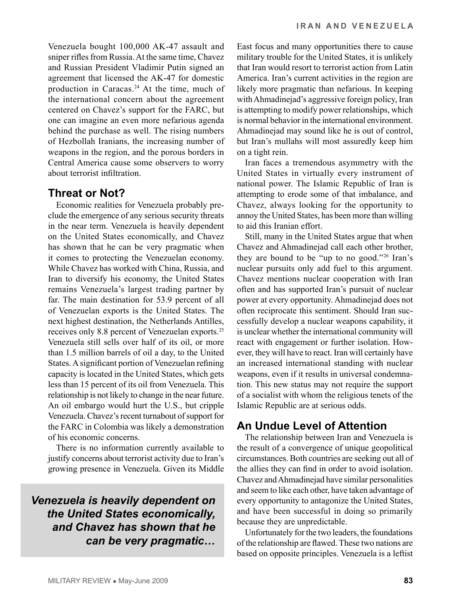Venezuela bought 100,000 AK-47 assault and sniper rifles from Russia. At the same time, Chavez and Russian President Vladimir Putin signed an agreement that licensed the AK-47 for domestic production in Caracas.<sup>24</sup> At the time, much of the international concern about the agreement centered on Chavez's support for the FARC, but one can imagine an even more nefarious agenda behind the purchase as well. The rising numbers of Hezbollah Iranians, the increasing number of weapons in the region, and the porous borders in Central America cause some observers to worry about terrorist infiltration.

#### **Threat or Not?**

Economic realities for Venezuela probably preclude the emergence of any serious security threats in the near term. Venezuela is heavily dependent on the United States economically, and Chavez has shown that he can be very pragmatic when it comes to protecting the Venezuelan economy. While Chavez has worked with China, Russia, and Iran to diversify his economy, the United States remains Venezuela's largest trading partner by far. The main destination for 53.9 percent of all of Venezuelan exports is the United States. The next highest destination, the Netherlands Antilles, receives only 8.8 percent of Venezuelan exports.25 Venezuela still sells over half of its oil, or more than 1.5 million barrels of oil a day, to the United States. A significant portion of Venezuelan refining capacity is located in the United States, which gets less than 15 percent of its oil from Venezuela. This relationship is not likely to change in the near future. An oil embargo would hurt the U.S., but cripple Venezuela. Chavez's recent turnabout of support for the FARC in Colombia was likely a demonstration of his economic concerns.

There is no information currently available to justify concerns about terrorist activity due to Iran's growing presence in Venezuela. Given its Middle

# *Venezuela is heavily dependent on the United States economically, and Chavez has shown that he can be very pragmatic…*

East focus and many opportunities there to cause military trouble for the United States, it is unlikely that Iran would resort to terrorist action from Latin America. Iran's current activities in the region are likely more pragmatic than nefarious. In keeping with Ahmadinejad's aggressive foreign policy, Iran is attempting to modify power relationships, which is normal behavior in the international environment. Ahmadinejad may sound like he is out of control, but Iran's mullahs will most assuredly keep him on a tight rein.

Iran faces a tremendous asymmetry with the United States in virtually every instrument of national power. The Islamic Republic of Iran is attempting to erode some of that imbalance, and Chavez, always looking for the opportunity to annoy the United States, has been more than willing to aid this Iranian effort.

Still, many in the United States argue that when Chavez and Ahmadinejad call each other brother, they are bound to be "up to no good."26 Iran's nuclear pursuits only add fuel to this argument. Chavez mentions nuclear cooperation with Iran often and has supported Iran's pursuit of nuclear power at every opportunity. Ahmadinejad does not often reciprocate this sentiment. Should Iran successfully develop a nuclear weapons capability, it is unclear whether the international community will react with engagement or further isolation. However, they will have to react. Iran will certainly have an increased international standing with nuclear weapons, even if it results in universal condemnation. This new status may not require the support of a socialist with whom the religious tenets of the Islamic Republic are at serious odds.

# **An Undue Level of Attention**

The relationship between Iran and Venezuela is the result of a convergence of unique geopolitical circumstances. Both countries are seeking out all of the allies they can find in order to avoid isolation. Chavez and Ahmadinejad have similar personalities and seem to like each other, have taken advantage of every opportunity to antagonize the United States, and have been successful in doing so primarily because they are unpredictable.

Unfortunately for the two leaders, the foundations of the relationship are flawed. These two nations are based on opposite principles. Venezuela is a leftist